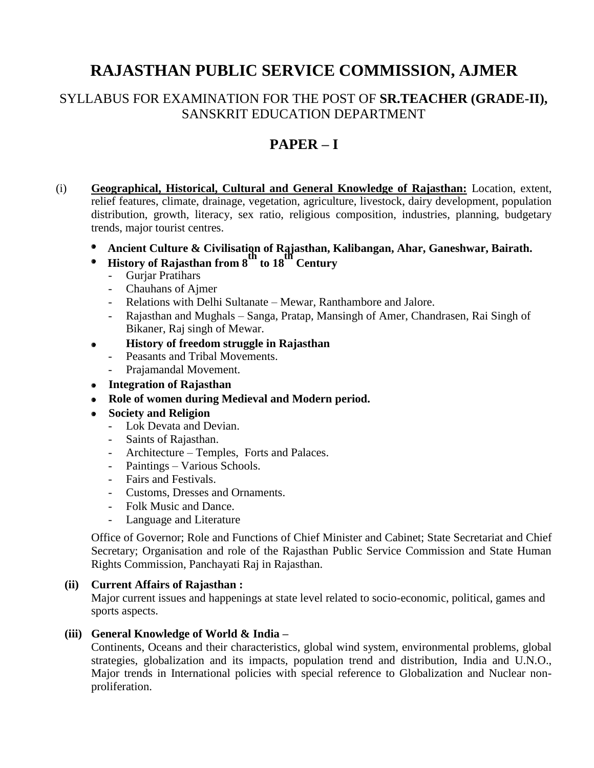# **RAJASTHAN PUBLIC SERVICE COMMISSION, AJMER**

### SYLLABUS FOR EXAMINATION FOR THE POST OF **SR.TEACHER (GRADE-II),**  SANSKRIT EDUCATION DEPARTMENT

## **PAPER – I**

- (i) **Geographical, Historical, Cultural and General Knowledge of Rajasthan:** Location, extent, relief features, climate, drainage, vegetation, agriculture, livestock, dairy development, population distribution, growth, literacy, sex ratio, religious composition, industries, planning, budgetary trends, major tourist centres.
	- $\bullet$  **Ancient Culture & Civilisation of Rajasthan, Kalibangan, Ahar, Ganeshwar, Bairath.**
	- **History of Rajasthan from 8th to 18th Century**  $\bullet$ 
		- Gurjar Pratihars
		- Chauhans of Ajmer
		- Relations with Delhi Sultanate Mewar, Ranthambore and Jalore.
		- Rajasthan and Mughals Sanga, Pratap, Mansingh of Amer, Chandrasen, Rai Singh of Bikaner, Raj singh of Mewar.
	- **History of freedom struggle in Rajasthan**  $\bullet$ 
		- Peasants and Tribal Movements.
		- Prajamandal Movement.
	- **Integration of Rajasthan**
	- **Role of women during Medieval and Modern period.**
	- **Society and Religion**  $\bullet$ 
		- Lok Devata and Devian.
		- Saints of Rajasthan.
		- Architecture Temples, Forts and Palaces.
		- Paintings Various Schools.
		- Fairs and Festivals.
		- Customs, Dresses and Ornaments.
		- Folk Music and Dance.
		- Language and Literature

Office of Governor; Role and Functions of Chief Minister and Cabinet; State Secretariat and Chief Secretary; Organisation and role of the Rajasthan Public Service Commission and State Human Rights Commission, Panchayati Raj in Rajasthan.

#### **(ii) Current Affairs of Rajasthan :**

Major current issues and happenings at state level related to socio-economic, political, games and sports aspects.

#### **(iii) General Knowledge of World & India –**

Continents, Oceans and their characteristics, global wind system, environmental problems, global strategies, globalization and its impacts, population trend and distribution, India and U.N.O., Major trends in International policies with special reference to Globalization and Nuclear nonproliferation.